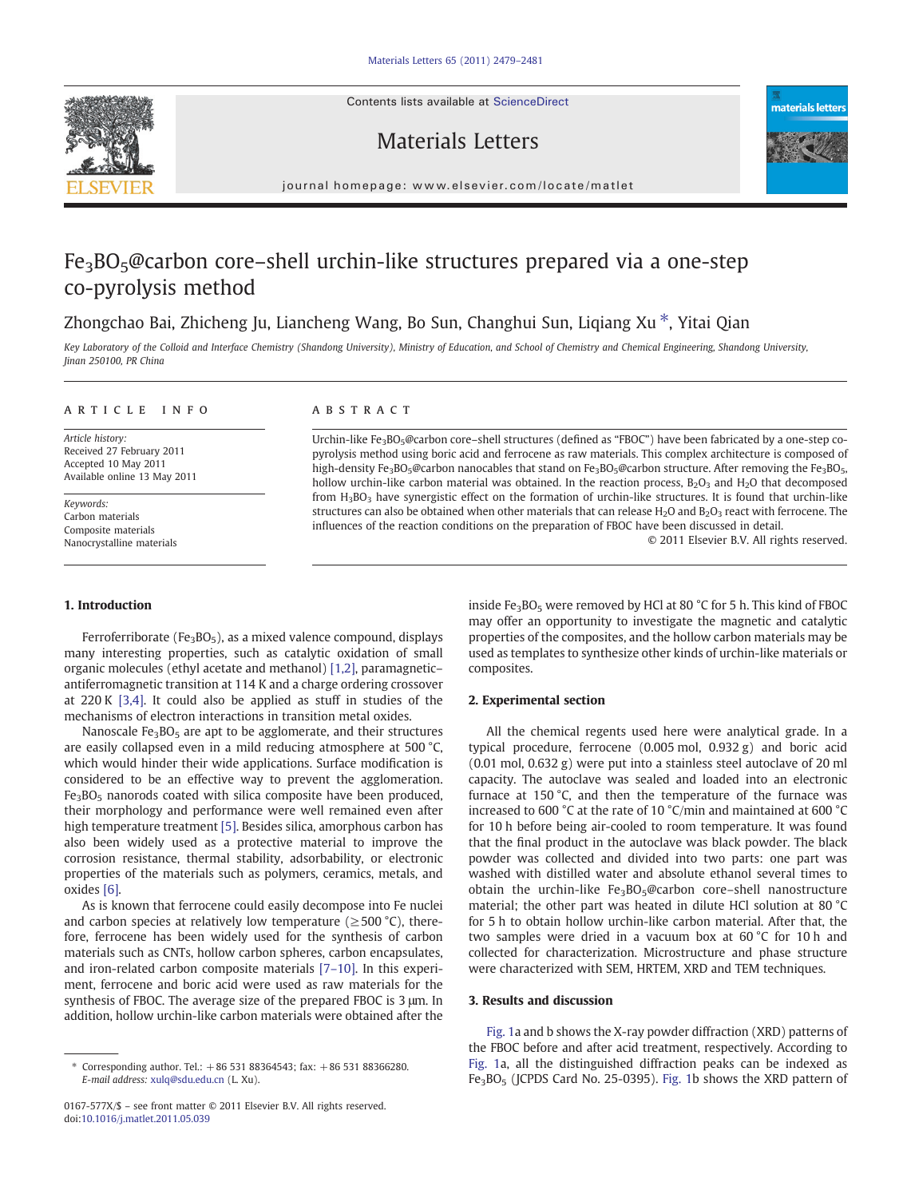Contents lists available at ScienceDirect







journal homepage: www.elsevier.com/locate/matlet

# Fe3BO5@carbon core–shell urchin-like structures prepared via a one-step co-pyrolysis method

# Zhongchao Bai, Zhicheng Ju, Liancheng Wang, Bo Sun, Changhui Sun, Liqiang Xu ⁎, Yitai Qian

Key Laboratory of the Colloid and Interface Chemistry (Shandong University), Ministry of Education, and School of Chemistry and Chemical Engineering, Shandong University, Jinan 250100, PR China

#### article info abstract

Article history: Received 27 February 2011 Accepted 10 May 2011 Available online 13 May 2011

Keywords: Carbon materials Composite materials Nanocrystalline materials

#### 1. Introduction

# Ferroferriborate (Fe<sub>3</sub>BO<sub>5</sub>), as a mixed valence compound, displays many interesting properties, such as catalytic oxidation of small organic molecules (ethyl acetate and methanol) [\[1,2\]](#page-2-0), paramagnetic– antiferromagnetic transition at 114 K and a charge ordering crossover at 220 K [\[3,4\]](#page-2-0). It could also be applied as stuff in studies of the

mechanisms of electron interactions in transition metal oxides.

Nanoscale  $Fe<sub>3</sub>BO<sub>5</sub>$  are apt to be agglomerate, and their structures are easily collapsed even in a mild reducing atmosphere at 500 °C, which would hinder their wide applications. Surface modification is considered to be an effective way to prevent the agglomeration. Fe<sub>3</sub>BO<sub>5</sub> nanorods coated with silica composite have been produced, their morphology and performance were well remained even after high temperature treatment [\[5\].](#page-2-0) Besides silica, amorphous carbon has also been widely used as a protective material to improve the corrosion resistance, thermal stability, adsorbability, or electronic properties of the materials such as polymers, ceramics, metals, and oxides [\[6\].](#page-2-0)

As is known that ferrocene could easily decompose into Fe nuclei and carbon species at relatively low temperature ( $\geq$ 500 °C), therefore, ferrocene has been widely used for the synthesis of carbon materials such as CNTs, hollow carbon spheres, carbon encapsulates, and iron-related carbon composite materials [7–[10\]](#page-2-0). In this experiment, ferrocene and boric acid were used as raw materials for the synthesis of FBOC. The average size of the prepared FBOC is 3 μm. In addition, hollow urchin-like carbon materials were obtained after the

Urchin-like Fe<sub>3</sub>BO<sub>5</sub>@carbon core–shell structures (defined as "FBOC") have been fabricated by a one-step copyrolysis method using boric acid and ferrocene as raw materials. This complex architecture is composed of high-density Fe<sub>3</sub>BO<sub>5</sub>@carbon nanocables that stand on Fe<sub>3</sub>BO<sub>5</sub>@carbon structure. After removing the Fe<sub>3</sub>BO<sub>5</sub>, hollow urchin-like carbon material was obtained. In the reaction process,  $B_2O_3$  and  $H_2O$  that decomposed from  $H_3BO_3$  have synergistic effect on the formation of urchin-like structures. It is found that urchin-like structures can also be obtained when other materials that can release  $H_2O$  and  $B_2O_3$  react with ferrocene. The influences of the reaction conditions on the preparation of FBOC have been discussed in detail.

© 2011 Elsevier B.V. All rights reserved.

inside Fe<sub>3</sub>BO<sub>5</sub> were removed by HCl at 80  $^{\circ}$ C for 5 h. This kind of FBOC may offer an opportunity to investigate the magnetic and catalytic properties of the composites, and the hollow carbon materials may be used as templates to synthesize other kinds of urchin-like materials or composites.

#### 2. Experimental section

All the chemical regents used here were analytical grade. In a typical procedure, ferrocene (0.005 mol, 0.932 g) and boric acid (0.01 mol, 0.632 g) were put into a stainless steel autoclave of 20 ml capacity. The autoclave was sealed and loaded into an electronic furnace at 150 °C, and then the temperature of the furnace was increased to 600 °C at the rate of 10 °C/min and maintained at 600 °C for 10 h before being air-cooled to room temperature. It was found that the final product in the autoclave was black powder. The black powder was collected and divided into two parts: one part was washed with distilled water and absolute ethanol several times to obtain the urchin-like  $Fe<sub>3</sub>BO<sub>5</sub>@carbon core-shell nanostructure$ material; the other part was heated in dilute HCl solution at 80 °C for 5 h to obtain hollow urchin-like carbon material. After that, the two samples were dried in a vacuum box at 60 °C for 10 h and collected for characterization. Microstructure and phase structure were characterized with SEM, HRTEM, XRD and TEM techniques.

### 3. Results and discussion

[Fig. 1](#page-1-0)a and b shows the X-ray powder diffraction (XRD) patterns of the FBOC before and after acid treatment, respectively. According to [Fig. 1a](#page-1-0), all the distinguished diffraction peaks can be indexed as Fe<sub>3</sub>BO<sub>5</sub> (JCPDS Card No. 25-0395). [Fig. 1b](#page-1-0) shows the XRD pattern of

<sup>⁎</sup> Corresponding author. Tel.: +86 531 88364543; fax: +86 531 88366280. E-mail address: [xulq@sdu.edu.cn](mailto:xulq@sdu.edu.cn) (L. Xu).

<sup>0167-577</sup>X/\$ – see front matter © 2011 Elsevier B.V. All rights reserved. doi:[10.1016/j.matlet.2011.05.039](http://dx.doi.org/10.1016/j.matlet.2011.05.039)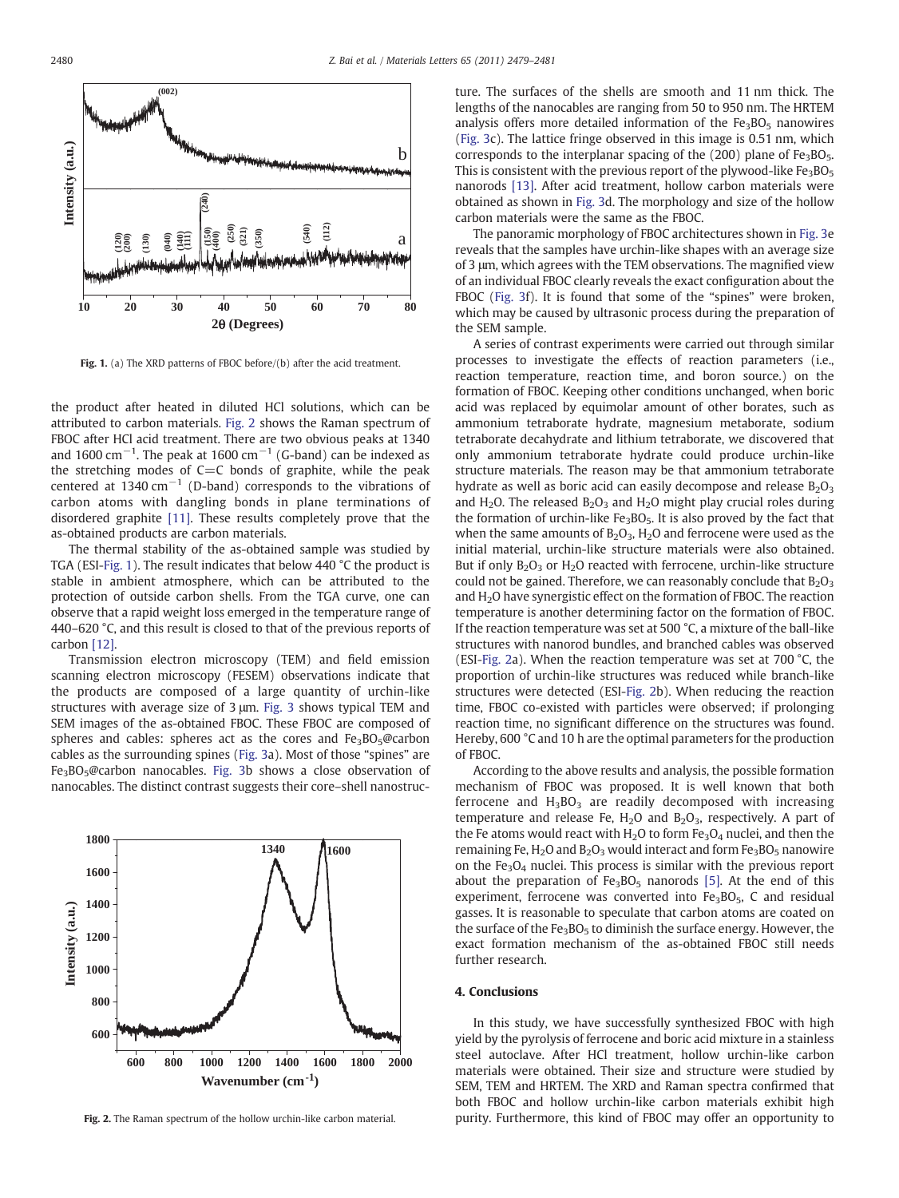<span id="page-1-0"></span>

Fig. 1. (a) The XRD patterns of FBOC before/(b) after the acid treatment.

the product after heated in diluted HCl solutions, which can be attributed to carbon materials. Fig. 2 shows the Raman spectrum of FBOC after HCl acid treatment. There are two obvious peaks at 1340 and 1600 cm<sup>-1</sup>. The peak at 1600 cm<sup>-1</sup> (G-band) can be indexed as the stretching modes of  $C=C$  bonds of graphite, while the peak centered at  $1340 \text{ cm}^{-1}$  (D-band) corresponds to the vibrations of carbon atoms with dangling bonds in plane terminations of disordered graphite [\[11\]](#page-2-0). These results completely prove that the as-obtained products are carbon materials.

The thermal stability of the as-obtained sample was studied by TGA (ESI-Fig. 1). The result indicates that below 440 °C the product is stable in ambient atmosphere, which can be attributed to the protection of outside carbon shells. From the TGA curve, one can observe that a rapid weight loss emerged in the temperature range of 440–620 °C, and this result is closed to that of the previous reports of carbon [\[12\].](#page-2-0)

Transmission electron microscopy (TEM) and field emission scanning electron microscopy (FESEM) observations indicate that the products are composed of a large quantity of urchin-like structures with average size of 3 μm. [Fig. 3](#page-2-0) shows typical TEM and SEM images of the as-obtained FBOC. These FBOC are composed of spheres and cables: spheres act as the cores and  $Fe<sub>3</sub>BO<sub>5</sub>@carbon$ cables as the surrounding spines [\(Fig. 3a](#page-2-0)). Most of those "spines" are Fe3BO5@carbon nanocables. [Fig. 3b](#page-2-0) shows a close observation of nanocables. The distinct contrast suggests their core–shell nanostruc-



Fig. 2. The Raman spectrum of the hollow urchin-like carbon material.

ture. The surfaces of the shells are smooth and 11 nm thick. The lengths of the nanocables are ranging from 50 to 950 nm. The HRTEM analysis offers more detailed information of the  $Fe<sub>3</sub>BO<sub>5</sub>$  nanowires [\(Fig. 3c](#page-2-0)). The lattice fringe observed in this image is 0.51 nm, which corresponds to the interplanar spacing of the  $(200)$  plane of Fe<sub>3</sub>BO<sub>5</sub>. This is consistent with the previous report of the plywood-like  $Fe<sub>3</sub>BO<sub>5</sub>$ nanorods [\[13\].](#page-2-0) After acid treatment, hollow carbon materials were obtained as shown in [Fig. 3](#page-2-0)d. The morphology and size of the hollow carbon materials were the same as the FBOC.

The panoramic morphology of FBOC architectures shown in [Fig. 3e](#page-2-0) reveals that the samples have urchin-like shapes with an average size of 3 μm, which agrees with the TEM observations. The magnified view of an individual FBOC clearly reveals the exact configuration about the FBOC ([Fig. 3](#page-2-0)f). It is found that some of the "spines" were broken, which may be caused by ultrasonic process during the preparation of the SEM sample.

A series of contrast experiments were carried out through similar processes to investigate the effects of reaction parameters (i.e., reaction temperature, reaction time, and boron source.) on the formation of FBOC. Keeping other conditions unchanged, when boric acid was replaced by equimolar amount of other borates, such as ammonium tetraborate hydrate, magnesium metaborate, sodium tetraborate decahydrate and lithium tetraborate, we discovered that only ammonium tetraborate hydrate could produce urchin-like structure materials. The reason may be that ammonium tetraborate hydrate as well as boric acid can easily decompose and release  $B_2O_3$ and  $H_2O$ . The released  $B_2O_3$  and  $H_2O$  might play crucial roles during the formation of urchin-like  $Fe<sub>3</sub>BO<sub>5</sub>$ . It is also proved by the fact that when the same amounts of  $B_2O_3$ ,  $H_2O$  and ferrocene were used as the initial material, urchin-like structure materials were also obtained. But if only  $B_2O_3$  or  $H_2O$  reacted with ferrocene, urchin-like structure could not be gained. Therefore, we can reasonably conclude that  $B_2O_3$ and  $H<sub>2</sub>O$  have synergistic effect on the formation of FBOC. The reaction temperature is another determining factor on the formation of FBOC. If the reaction temperature was set at 500 °C, a mixture of the ball-like structures with nanorod bundles, and branched cables was observed (ESI-Fig. 2a). When the reaction temperature was set at 700 °C, the proportion of urchin-like structures was reduced while branch-like structures were detected (ESI-Fig. 2b). When reducing the reaction time, FBOC co-existed with particles were observed; if prolonging reaction time, no significant difference on the structures was found. Hereby, 600 °C and 10 h are the optimal parameters for the production of FBOC.

According to the above results and analysis, the possible formation mechanism of FBOC was proposed. It is well known that both ferrocene and  $H_3BO_3$  are readily decomposed with increasing temperature and release Fe,  $H_2O$  and  $B_2O_3$ , respectively. A part of the Fe atoms would react with  $H_2O$  to form  $Fe<sub>3</sub>O<sub>4</sub>$  nuclei, and then the remaining Fe,  $H_2O$  and  $B_2O_3$  would interact and form  $Fe_3BO_5$  nanowire on the  $Fe<sub>3</sub>O<sub>4</sub>$  nuclei. This process is similar with the previous report about the preparation of  $Fe<sub>3</sub>BO<sub>5</sub>$  nanorods [\[5\]](#page-2-0). At the end of this experiment, ferrocene was converted into  $Fe<sub>3</sub>BO<sub>5</sub>$ , C and residual gasses. It is reasonable to speculate that carbon atoms are coated on the surface of the  $Fe<sub>3</sub>BO<sub>5</sub>$  to diminish the surface energy. However, the exact formation mechanism of the as-obtained FBOC still needs further research.

#### 4. Conclusions

In this study, we have successfully synthesized FBOC with high yield by the pyrolysis of ferrocene and boric acid mixture in a stainless steel autoclave. After HCl treatment, hollow urchin-like carbon materials were obtained. Their size and structure were studied by SEM, TEM and HRTEM. The XRD and Raman spectra confirmed that both FBOC and hollow urchin-like carbon materials exhibit high purity. Furthermore, this kind of FBOC may offer an opportunity to